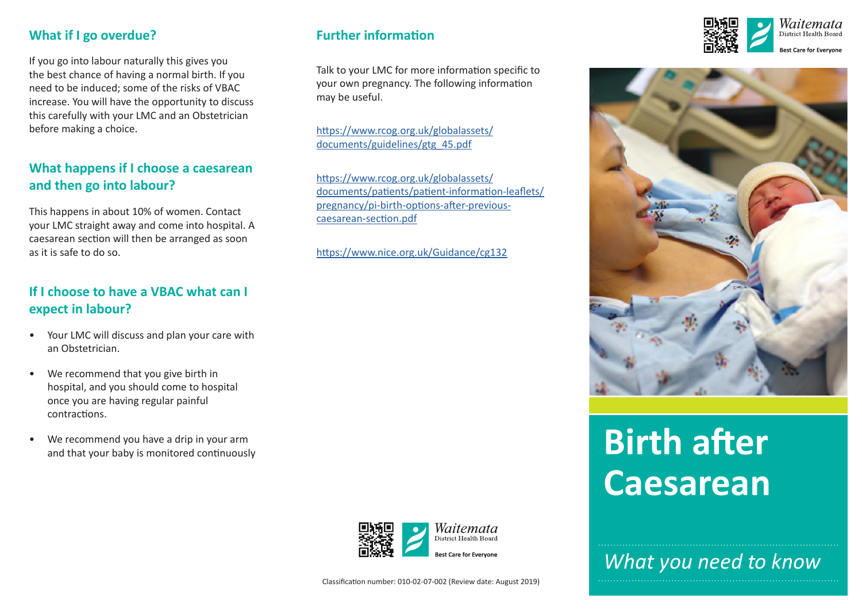#### **What if I go overdue?**

If you go into labour naturally this gives you the best chance of having a normal birth. If you need to be induced; some of the risks of VBAC increase. You will have the opportunity to discuss this carefully with your LMC and an Obstetrician before making a choice.

## **What happens if I choose a caesarean and then go into labour?**

This happens in about 10% of women. Contact your LMC straight away and come into hospital. A caesarean section will then be arranged as soon as it is safe to do so.

#### **If I choose to have a VBAC what can I expect in labour?**

- • Your LMC will discuss and plan your care with an Obstetrician.
- • We recommend that you give birth in hospital, and you should come to hospital once you are having regular painful contractions.
- • We recommend you have a drip in your arm and that your baby is monitored continuously

#### **Further informaton**

Talk to your LMC for more information specific to your own pregnancy. The following information may be useful.

htps://www.rcog.org.uk/globalassets/ documents/guidelines/gtg\_45.pdf

htps://www.rcog.org.uk/globalassets/ documents/patents/patent-informaton-leafets/ pregnancy/pi-birth-options-after-previouscaesarean-section.pdf

htps://www.nice.org.uk/Guidance/cg132







# **Birth after Caesarean**

*What you need to know*